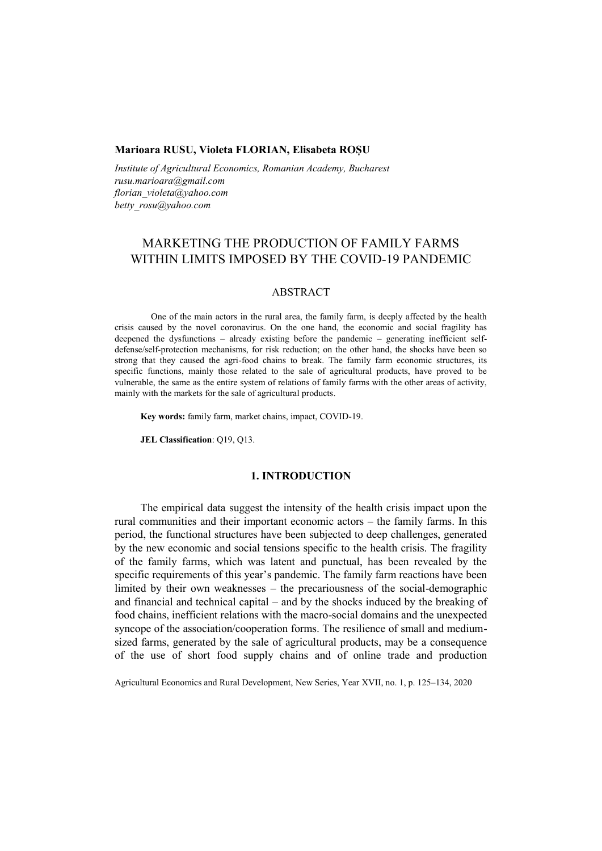### **Marioara RUSU, Violeta FLORIAN, Elisabeta ROȘU**

*Institute of Agricultural Economics, Romanian Academy, Bucharest rusu.marioara@gmail.com florian\_violeta@yahoo.com betty\_rosu@yahoo.com*

# MARKETING THE PRODUCTION OF FAMILY FARMS WITHIN LIMITS IMPOSED BY THE COVID-19 PANDEMIC

## ABSTRACT

One of the main actors in the rural area, the family farm, is deeply affected by the health crisis caused by the novel coronavirus. On the one hand, the economic and social fragility has deepened the dysfunctions – already existing before the pandemic – generating inefficient selfdefense/self-protection mechanisms, for risk reduction; on the other hand, the shocks have been so strong that they caused the agri-food chains to break. The family farm economic structures, its specific functions, mainly those related to the sale of agricultural products, have proved to be vulnerable, the same as the entire system of relations of family farms with the other areas of activity, mainly with the markets for the sale of agricultural products.

**Key words:** family farm, market chains, impact, COVID-19.

**JEL Classification**: Q19, Q13.

## **1. INTRODUCTION**

The empirical data suggest the intensity of the health crisis impact upon the rural communities and their important economic actors – the family farms. In this period, the functional structures have been subjected to deep challenges, generated by the new economic and social tensions specific to the health crisis. The fragility of the family farms, which was latent and punctual, has been revealed by the specific requirements of this year's pandemic. The family farm reactions have been limited by their own weaknesses – the precariousness of the social-demographic and financial and technical capital – and by the shocks induced by the breaking of food chains, inefficient relations with the macro-social domains and the unexpected syncope of the association/cooperation forms. The resilience of small and mediumsized farms, generated by the sale of agricultural products, may be a consequence of the use of short food supply chains and of online trade and production

Agricultural Economics and Rural Development, New Series, Year XVII, no. 1, p. 125–134, 2020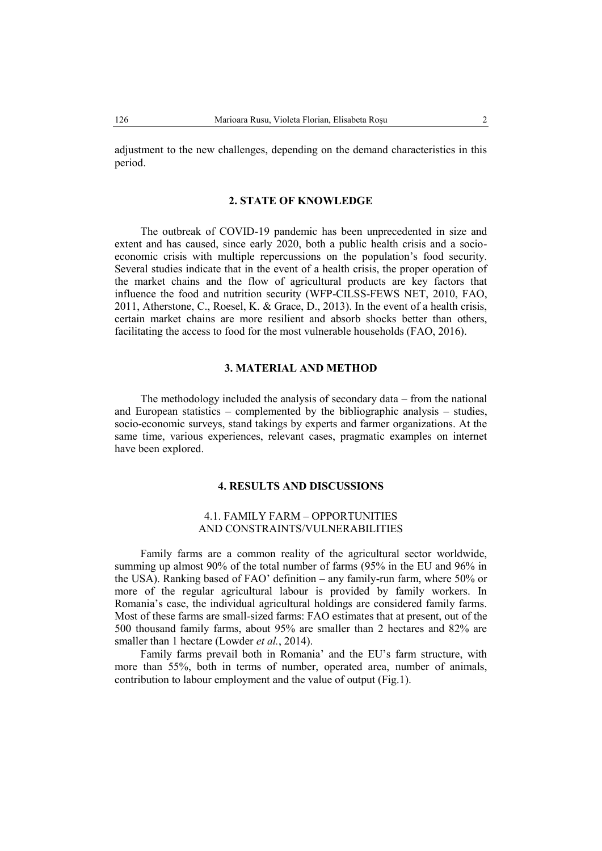adjustment to the new challenges, depending on the demand characteristics in this period.

#### **2. STATE OF KNOWLEDGE**

The outbreak of COVID-19 pandemic has been unprecedented in size and extent and has caused, since early 2020, both a public health crisis and a socioeconomic crisis with multiple repercussions on the population's food security. Several studies indicate that in the event of a health crisis, the proper operation of the market chains and the flow of agricultural products are key factors that influence the food and nutrition security (WFP-CILSS-FEWS NET, 2010, FAO, 2011, Atherstone, C., Roesel, K. & Grace, D., 2013). In the event of a health crisis, certain market chains are more resilient and absorb shocks better than others, facilitating the access to food for the most vulnerable households (FAO, 2016).

### **3. MATERIAL AND METHOD**

The methodology included the analysis of secondary data – from the national and European statistics – complemented by the bibliographic analysis – studies, socio-economic surveys, stand takings by experts and farmer organizations. At the same time, various experiences, relevant cases, pragmatic examples on internet have been explored.

## **4. RESULTS AND DISCUSSIONS**

## 4.1. FAMILY FARM – OPPORTUNITIES AND CONSTRAINTS/VULNERABILITIES

Family farms are a common reality of the agricultural sector worldwide, summing up almost 90% of the total number of farms (95% in the EU and 96% in the USA). Ranking based of FAO' definition – any family-run farm, where 50% or more of the regular agricultural labour is provided by family workers. In Romania's case, the individual agricultural holdings are considered family farms. Most of these farms are small-sized farms: FAO estimates that at present, out of the 500 thousand family farms, about 95% are smaller than 2 hectares and 82% are smaller than 1 hectare (Lowder *et al.*, 2014).

Family farms prevail both in Romania' and the EU's farm structure, with more than 55%, both in terms of number, operated area, number of animals, contribution to labour employment and the value of output (Fig.1).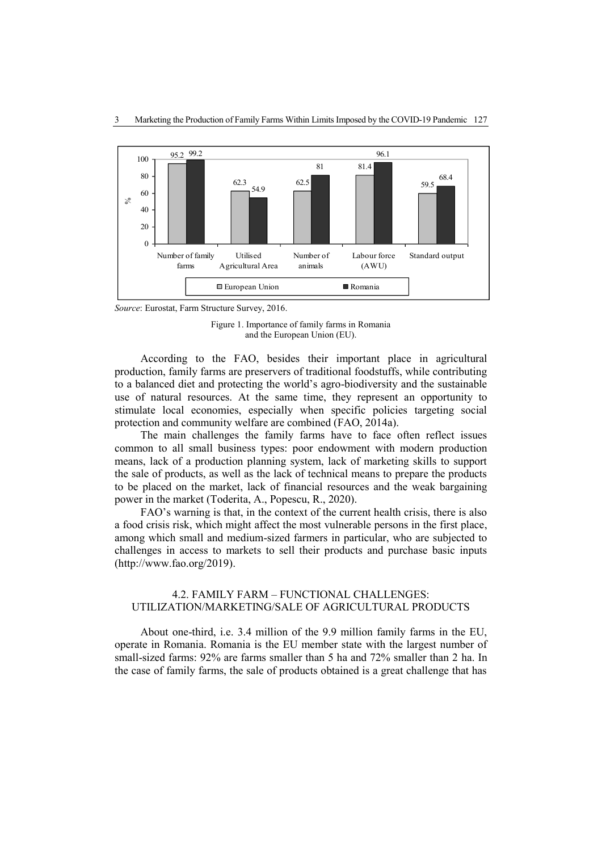

*Source*: Eurostat, Farm Structure Survey, 2016.

Figure 1. Importance of family farms in Romania and the European Union (EU).

According to the FAO, besides their important place in agricultural production, family farms are preservers of traditional foodstuffs, while contributing to a balanced diet and protecting the world's agro-biodiversity and the sustainable use of natural resources. At the same time, they represent an opportunity to stimulate local economies, especially when specific policies targeting social protection and community welfare are combined (FAO, 2014a).

The main challenges the family farms have to face often reflect issues common to all small business types: poor endowment with modern production means, lack of a production planning system, lack of marketing skills to support the sale of products, as well as the lack of technical means to prepare the products to be placed on the market, lack of financial resources and the weak bargaining power in the market (Toderita, A., Popescu, R., 2020).

FAO's warning is that, in the context of the current health crisis, there is also a food crisis risk, which might affect the most vulnerable persons in the first place, among which small and medium-sized farmers in particular, who are subjected to challenges in access to markets to sell their products and purchase basic inputs (http://www.fao.org/2019).

## 4.2. FAMILY FARM – FUNCTIONAL CHALLENGES: UTILIZATION/MARKETING/SALE OF AGRICULTURAL PRODUCTS

About one-third, i.e. 3.4 million of the 9.9 million family farms in the EU, operate in Romania. Romania is the EU member state with the largest number of small-sized farms: 92% are farms smaller than 5 ha and 72% smaller than 2 ha. In the case of family farms, the sale of products obtained is a great challenge that has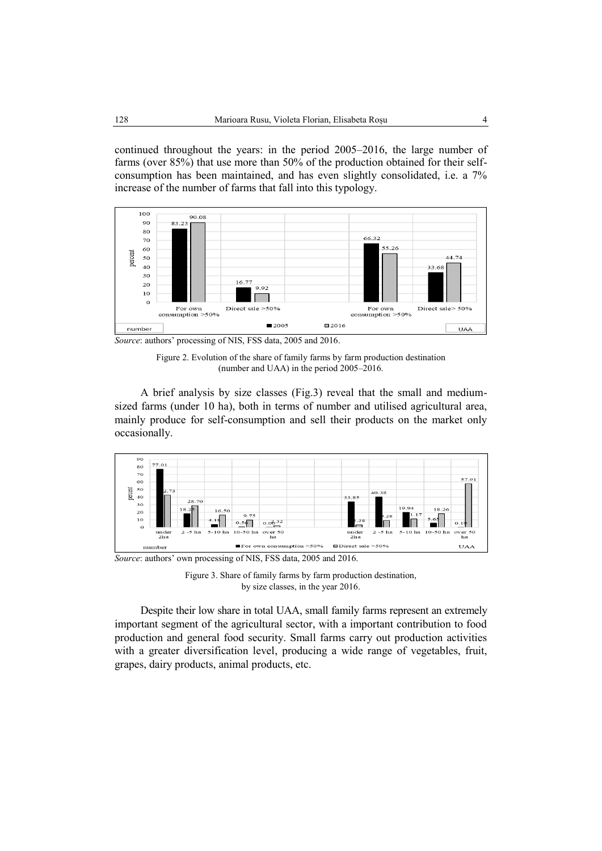continued throughout the years: in the period 2005–2016, the large number of farms (over 85%) that use more than 50% of the production obtained for their selfconsumption has been maintained, and has even slightly consolidated, i.e. a 7% increase of the number of farms that fall into this typology.



Figure 2. Evolution of the share of family farms by farm production destination

(number and UAA) in the period 2005–2016.

A brief analysis by size classes (Fig.3) reveal that the small and mediumsized farms (under 10 ha), both in terms of number and utilised agricultural area, mainly produce for self-consumption and sell their products on the market only occasionally.



*Source*: authors' own processing of NIS, FSS data, 2005 and 2016.

Figure 3. Share of family farms by farm production destination, by size classes, in the year 2016.

Despite their low share in total UAA, small family farms represent an extremely important segment of the agricultural sector, with a important contribution to food production and general food security. Small farms carry out production activities with a greater diversification level, producing a wide range of vegetables, fruit, grapes, dairy products, animal products, etc.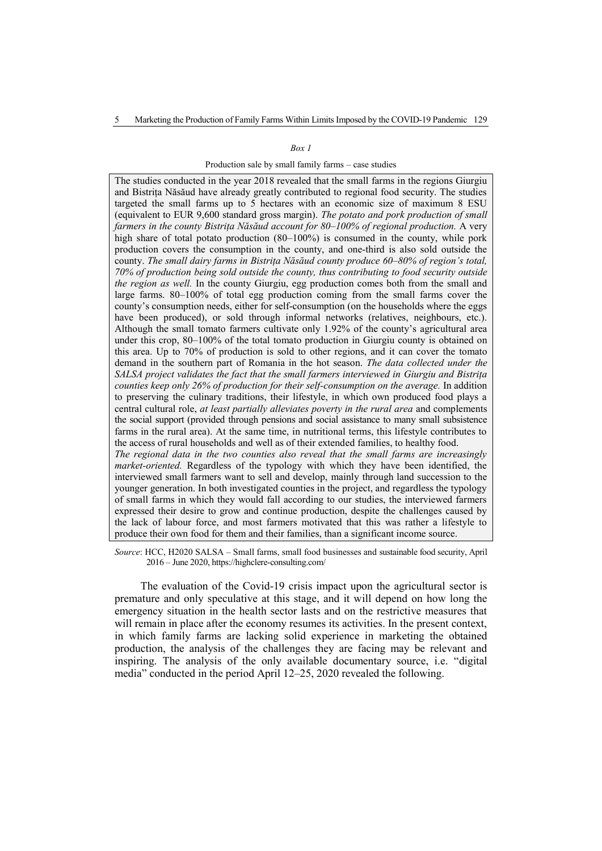#### *Box 1*

#### Production sale by small family farms – case studies

The studies conducted in the year 2018 revealed that the small farms in the regions Giurgiu and Bistrița Năsăud have already greatly contributed to regional food security. The studies targeted the small farms up to 5 hectares with an economic size of maximum 8 ESU (equivalent to EUR 9,600 standard gross margin). *The potato and pork production of small farmers in the county Bistrița Năsăud account for 80–100% of regional production.* A very high share of total potato production  $(80-100\%)$  is consumed in the county, while pork production covers the consumption in the county, and one-third is also sold outside the county. *The small dairy farms in Bistrița Năsăud county produce 60–80% of region's total, 70% of production being sold outside the county, thus contributing to food security outside the region as well.* In the county Giurgiu, egg production comes both from the small and large farms. 80–100% of total egg production coming from the small farms cover the county's consumption needs, either for self-consumption (on the households where the eggs have been produced), or sold through informal networks (relatives, neighbours, etc.). Although the small tomato farmers cultivate only 1.92% of the county's agricultural area under this crop, 80–100% of the total tomato production in Giurgiu county is obtained on this area. Up to 70% of production is sold to other regions, and it can cover the tomato demand in the southern part of Romania in the hot season. *The data collected under the SALSA project validates the fact that the small farmers interviewed in Giurgiu and Bistrița counties keep only 26% of production for their self-consumption on the average.* In addition to preserving the culinary traditions, their lifestyle, in which own produced food plays a central cultural role, *at least partially alleviates poverty in the rural area* and complements the social support (provided through pensions and social assistance to many small subsistence farms in the rural area). At the same time, in nutritional terms, this lifestyle contributes to the access of rural households and well as of their extended families, to healthy food. *The regional data in the two counties also reveal that the small farms are increasingly market-oriented.* Regardless of the typology with which they have been identified, the interviewed small farmers want to sell and develop, mainly through land succession to the younger generation. In both investigated counties in the project, and regardless the typology of small farms in which they would fall according to our studies, the interviewed farmers expressed their desire to grow and continue production, despite the challenges caused by the lack of labour force, and most farmers motivated that this was rather a lifestyle to produce their own food for them and their families, than a significant income source.

*Source*: HCC, H2020 SALSA – Small farms, small food businesses and sustainable food security, April 2016 – June 2020, https://highclere-consulting.com/

The evaluation of the Covid-19 crisis impact upon the agricultural sector is premature and only speculative at this stage, and it will depend on how long the emergency situation in the health sector lasts and on the restrictive measures that will remain in place after the economy resumes its activities. In the present context, in which family farms are lacking solid experience in marketing the obtained production, the analysis of the challenges they are facing may be relevant and inspiring. The analysis of the only available documentary source, i.e. "digital media" conducted in the period April 12–25, 2020 revealed the following.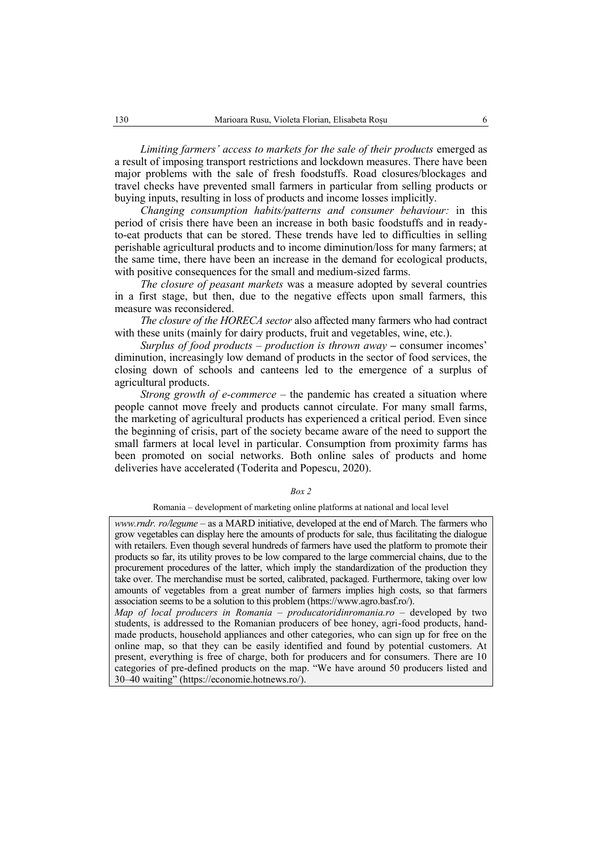*Limiting farmers' access to markets for the sale of their products* emerged as a result of imposing transport restrictions and lockdown measures. There have been major problems with the sale of fresh foodstuffs. Road closures/blockages and travel checks have prevented small farmers in particular from selling products or buying inputs, resulting in loss of products and income losses implicitly.

*Changing consumption habits/patterns and consumer behaviour:* in this period of crisis there have been an increase in both basic foodstuffs and in readyto-eat products that can be stored. These trends have led to difficulties in selling perishable agricultural products and to income diminution/loss for many farmers; at the same time, there have been an increase in the demand for ecological products, with positive consequences for the small and medium-sized farms.

*The closure of peasant markets* was a measure adopted by several countries in a first stage, but then, due to the negative effects upon small farmers, this measure was reconsidered.

*The closure of the HORECA sector* also affected many farmers who had contract with these units (mainly for dairy products, fruit and vegetables, wine, etc.).

*Surplus of food products – production is thrown away* **–** consumer incomes' diminution, increasingly low demand of products in the sector of food services, the closing down of schools and canteens led to the emergence of a surplus of agricultural products.

*Strong growth of e-commerce* – the pandemic has created a situation where people cannot move freely and products cannot circulate. For many small farms, the marketing of agricultural products has experienced a critical period. Even since the beginning of crisis, part of the society became aware of the need to support the small farmers at local level in particular. Consumption from proximity farms has been promoted on social networks. Both online sales of products and home deliveries have accelerated (Toderita and Popescu, 2020).

### *Box 2*

Romania – development of marketing online platforms at national and local level

*www.rndr. ro/legume* – as a MARD initiative, developed at the end of March. The farmers who grow vegetables can display here the amounts of products for sale, thus facilitating the dialogue with retailers. Even though several hundreds of farmers have used the platform to promote their products so far, its utility proves to be low compared to the large commercial chains, due to the procurement procedures of the latter, which imply the standardization of the production they take over. The merchandise must be sorted, calibrated, packaged. Furthermore, taking over low amounts of vegetables from a great number of farmers implies high costs, so that farmers association seems to be a solution to this problem (https://www.agro.basf.ro/).

*Map of local producers in Romania – producatoridinromania.ro* – developed by two students, is addressed to the Romanian producers of bee honey, agri-food products, handmade products, household appliances and other categories, who can sign up for free on the online map, so that they can be easily identified and found by potential customers. At present, everything is free of charge, both for producers and for consumers. There are 10 categories of pre-defined products on the map. "We have around 50 producers listed and 30–40 waiting" (https://economie.hotnews.ro/).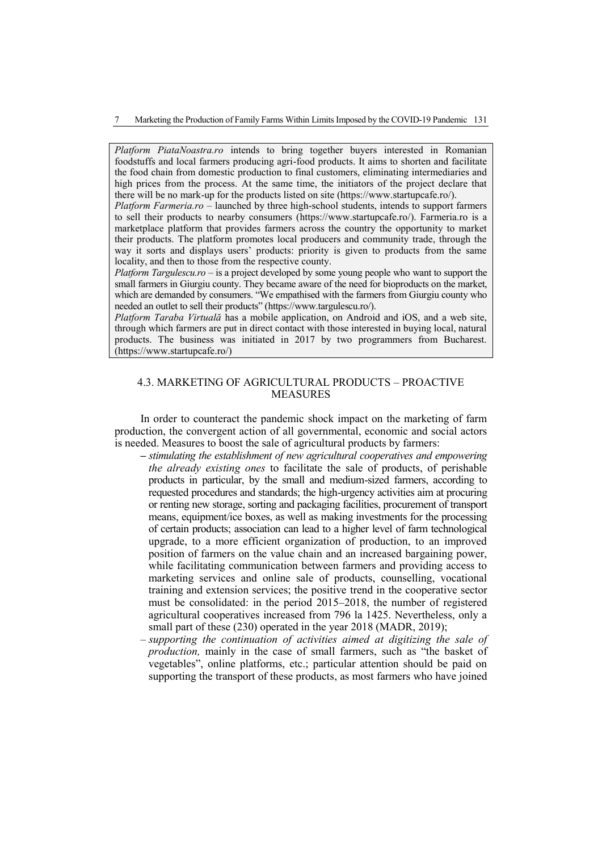*Platform PiataNoastra.ro* intends to bring together buyers interested in Romanian foodstuffs and local farmers producing agri-food products. It aims to shorten and facilitate the food chain from domestic production to final customers, eliminating intermediaries and high prices from the process. At the same time, the initiators of the project declare that there will be no mark-up for the products listed on site (https://www.startupcafe.ro/).

*Platform Farmeria.ro* – launched by three high-school students, intends to support farmers to sell their products to nearby consumers (https://www.startupcafe.ro/). Farmeria.ro is a marketplace platform that provides farmers across the country the opportunity to market their products. The platform promotes local producers and community trade, through the way it sorts and displays users' products: priority is given to products from the same locality, and then to those from the respective county.

*Platform Targulescu.ro* – is a project developed by some young people who want to support the small farmers in Giurgiu county. They became aware of the need for bioproducts on the market, which are demanded by consumers. "We empathised with the farmers from Giurgiu county who needed an outlet to sell their products" (https://www.targulescu.ro/).

*Platform Taraba Virtuală* has a mobile application, on Android and iOS, and a web site, through which farmers are put in direct contact with those interested in buying local, natural products. The business was initiated in 2017 by two programmers from Bucharest. (https://www.startupcafe.ro/)

## 4.3. MARKETING OF AGRICULTURAL PRODUCTS – PROACTIVE MEASURES

In order to counteract the pandemic shock impact on the marketing of farm production, the convergent action of all governmental, economic and social actors is needed. Measures to boost the sale of agricultural products by farmers:

- **–** *stimulating the establishment of new agricultural cooperatives and empowering the already existing ones* to facilitate the sale of products, of perishable products in particular, by the small and medium-sized farmers, according to requested procedures and standards; the high-urgency activities aim at procuring or renting new storage, sorting and packaging facilities, procurement of transport means, equipment/ice boxes, as well as making investments for the processing of certain products; association can lead to a higher level of farm technological upgrade, to a more efficient organization of production, to an improved position of farmers on the value chain and an increased bargaining power, while facilitating communication between farmers and providing access to marketing services and online sale of products, counselling, vocational training and extension services; the positive trend in the cooperative sector must be consolidated: in the period 2015–2018, the number of registered agricultural cooperatives increased from 796 la 1425. Nevertheless, only a small part of these (230) operated in the year 2018 (MADR, 2019);
- *– supporting the continuation of activities aimed at digitizing the sale of production,* mainly in the case of small farmers, such as "the basket of vegetables", online platforms, etc.; particular attention should be paid on supporting the transport of these products, as most farmers who have joined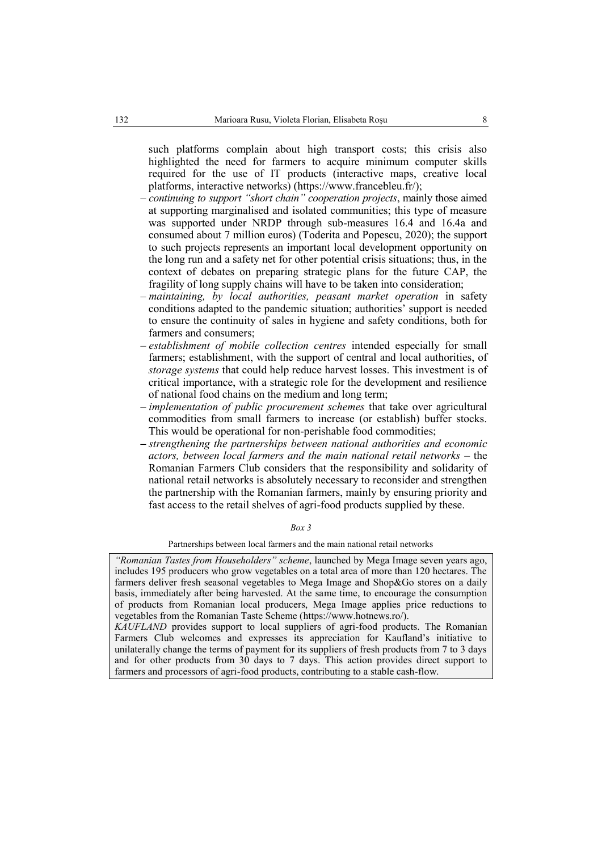such platforms complain about high transport costs; this crisis also highlighted the need for farmers to acquire minimum computer skills required for the use of IT products (interactive maps, creative local platforms, interactive networks) (https://www.francebleu.fr/);

- *– continuing to support "short chain" cooperation projects*, mainly those aimed at supporting marginalised and isolated communities; this type of measure was supported under NRDP through sub-measures 16.4 and 16.4a and consumed about 7 million euros) (Toderita and Popescu, 2020); the support to such projects represents an important local development opportunity on the long run and a safety net for other potential crisis situations; thus, in the context of debates on preparing strategic plans for the future CAP, the fragility of long supply chains will have to be taken into consideration;
- *– maintaining, by local authorities, peasant market operation* in safety conditions adapted to the pandemic situation; authorities' support is needed to ensure the continuity of sales in hygiene and safety conditions, both for farmers and consumers;
- *– establishment of mobile collection centres* intended especially for small farmers; establishment, with the support of central and local authorities, of *storage systems* that could help reduce harvest losses. This investment is of critical importance, with a strategic role for the development and resilience of national food chains on the medium and long term;
- *implementation of public procurement schemes* that take over agricultural commodities from small farmers to increase (or establish) buffer stocks. This would be operational for non-perishable food commodities;
- *– strengthening the partnerships between national authorities and economic actors, between local farmers and the main national retail networks –* the Romanian Farmers Club considers that the responsibility and solidarity of national retail networks is absolutely necessary to reconsider and strengthen the partnership with the Romanian farmers, mainly by ensuring priority and fast access to the retail shelves of agri-food products supplied by these.

### *Box 3*

Partnerships between local farmers and the main national retail networks

*"Romanian Tastes from Householders" scheme*, launched by Mega Image seven years ago, includes 195 producers who grow vegetables on a total area of more than 120 hectares. The farmers deliver fresh seasonal vegetables to Mega Image and Shop&Go stores on a daily basis, immediately after being harvested. At the same time, to encourage the consumption of products from Romanian local producers, Mega Image applies price reductions to vegetables from the Romanian Taste Scheme (https://www.hotnews.ro/).

*KAUFLAND* provides support to local suppliers of agri-food products. The Romanian Farmers Club welcomes and expresses its appreciation for Kaufland's initiative to unilaterally change the terms of payment for its suppliers of fresh products from 7 to 3 days and for other products from 30 days to 7 days. This action provides direct support to farmers and processors of agri-food products, contributing to a stable cash-flow.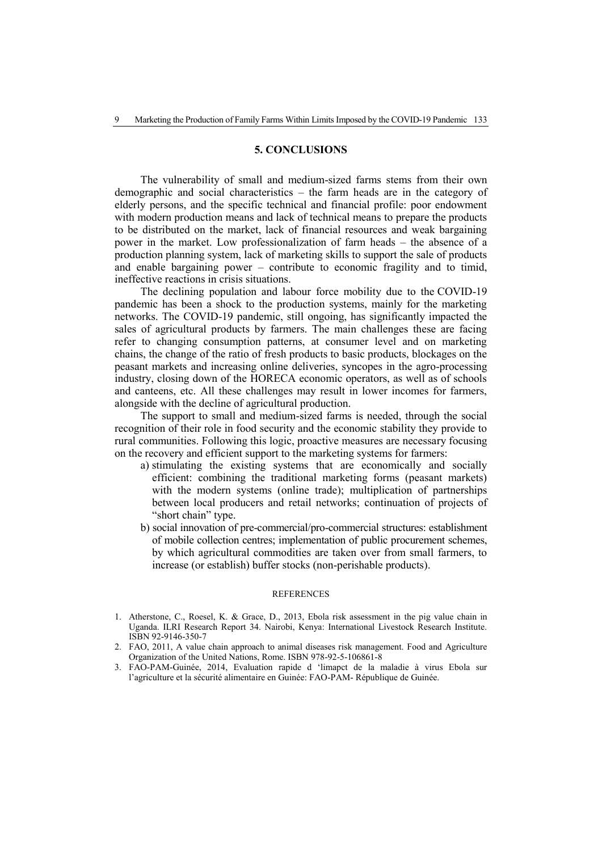### **5. CONCLUSIONS**

The vulnerability of small and medium-sized farms stems from their own demographic and social characteristics – the farm heads are in the category of elderly persons, and the specific technical and financial profile: poor endowment with modern production means and lack of technical means to prepare the products to be distributed on the market, lack of financial resources and weak bargaining power in the market. Low professionalization of farm heads – the absence of a production planning system, lack of marketing skills to support the sale of products and enable bargaining power – contribute to economic fragility and to timid, ineffective reactions in crisis situations.

The declining population and labour force mobility due to the COVID-19 pandemic has been a shock to the production systems, mainly for the marketing networks. The COVID-19 pandemic, still ongoing, has significantly impacted the sales of agricultural products by farmers. The main challenges these are facing refer to changing consumption patterns, at consumer level and on marketing chains, the change of the ratio of fresh products to basic products, blockages on the peasant markets and increasing online deliveries, syncopes in the agro-processing industry, closing down of the HORECA economic operators, as well as of schools and canteens, etc. All these challenges may result in lower incomes for farmers, alongside with the decline of agricultural production.

The support to small and medium-sized farms is needed, through the social recognition of their role in food security and the economic stability they provide to rural communities. Following this logic, proactive measures are necessary focusing on the recovery and efficient support to the marketing systems for farmers:

- a) stimulating the existing systems that are economically and socially efficient: combining the traditional marketing forms (peasant markets) with the modern systems (online trade); multiplication of partnerships between local producers and retail networks; continuation of projects of "short chain" type.
- b) social innovation of pre-commercial/pro-commercial structures: establishment of mobile collection centres; implementation of public procurement schemes, by which agricultural commodities are taken over from small farmers, to increase (or establish) buffer stocks (non-perishable products).

### **REFERENCES**

- 1. Atherstone, C., Roesel, K. & Grace, D., 2013, Ebola risk assessment in the pig value chain in Uganda. ILRI Research Report 34. Nairobi, Kenya: International Livestock Research Institute. ISBN 92-9146-350-7
- 2. FAO, 2011, A value chain approach to animal diseases risk management. Food and Agriculture Organization of the United Nations, Rome. ISBN 978-92-5-106861-8
- 3. FAO-PAM-Guinée, 2014, Evaluation rapide d 'limapct de la maladie à virus Ebola sur l'agriculture et la sécurité alimentaire en Guinée: FAO-PAM- République de Guinée.